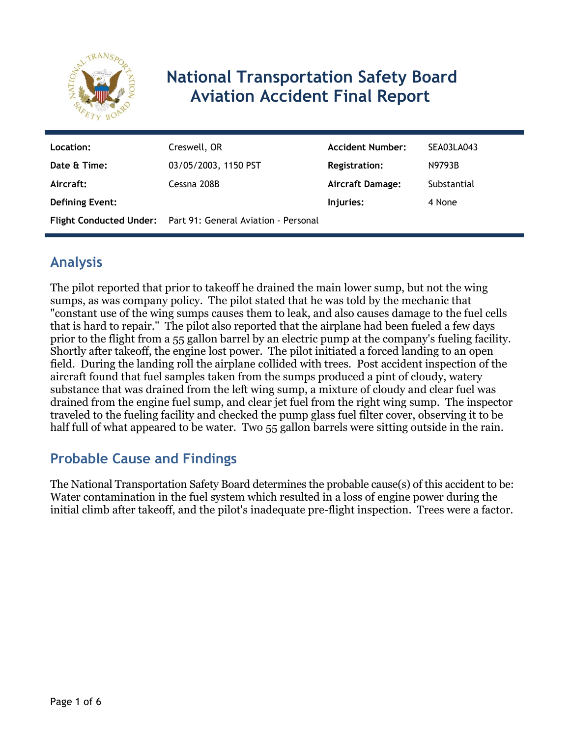

# **National Transportation Safety Board Aviation Accident Final Report**

| Location:              | Creswell, OR                                                 | <b>Accident Number:</b> | SEA03LA043  |
|------------------------|--------------------------------------------------------------|-------------------------|-------------|
| Date & Time:           | 03/05/2003, 1150 PST                                         | <b>Registration:</b>    | N9793B      |
| Aircraft:              | Cessna 208B                                                  | <b>Aircraft Damage:</b> | Substantial |
| <b>Defining Event:</b> |                                                              | Injuries:               | 4 None      |
|                        | Flight Conducted Under: Part 91: General Aviation - Personal |                         |             |

## **Analysis**

The pilot reported that prior to takeoff he drained the main lower sump, but not the wing sumps, as was company policy. The pilot stated that he was told by the mechanic that "constant use of the wing sumps causes them to leak, and also causes damage to the fuel cells that is hard to repair." The pilot also reported that the airplane had been fueled a few days prior to the flight from a 55 gallon barrel by an electric pump at the company's fueling facility. Shortly after takeoff, the engine lost power. The pilot initiated a forced landing to an open field. During the landing roll the airplane collided with trees. Post accident inspection of the aircraft found that fuel samples taken from the sumps produced a pint of cloudy, watery substance that was drained from the left wing sump, a mixture of cloudy and clear fuel was drained from the engine fuel sump, and clear jet fuel from the right wing sump. The inspector traveled to the fueling facility and checked the pump glass fuel filter cover, observing it to be half full of what appeared to be water. Two 55 gallon barrels were sitting outside in the rain.

## **Probable Cause and Findings**

The National Transportation Safety Board determines the probable cause(s) of this accident to be: Water contamination in the fuel system which resulted in a loss of engine power during the initial climb after takeoff, and the pilot's inadequate pre-flight inspection. Trees were a factor.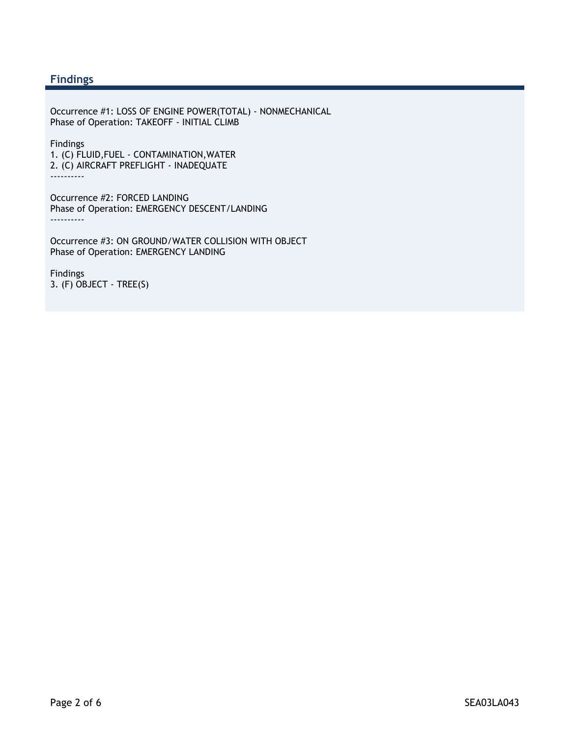#### **Findings**

Occurrence #1: LOSS OF ENGINE POWER(TOTAL) - NONMECHANICAL Phase of Operation: TAKEOFF - INITIAL CLIMB

Findings 1. (C) FLUID,FUEL - CONTAMINATION,WATER 2. (C) AIRCRAFT PREFLIGHT - INADEQUATE ----------

Occurrence #2: FORCED LANDING Phase of Operation: EMERGENCY DESCENT/LANDING ----------

Occurrence #3: ON GROUND/WATER COLLISION WITH OBJECT Phase of Operation: EMERGENCY LANDING

Findings 3. (F) OBJECT - TREE(S)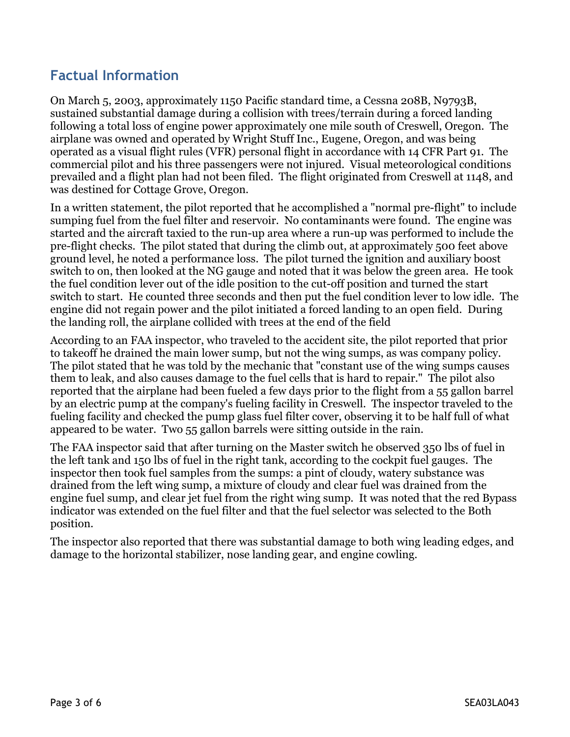## **Factual Information**

On March 5, 2003, approximately 1150 Pacific standard time, a Cessna 208B, N9793B, sustained substantial damage during a collision with trees/terrain during a forced landing following a total loss of engine power approximately one mile south of Creswell, Oregon. The airplane was owned and operated by Wright Stuff Inc., Eugene, Oregon, and was being operated as a visual flight rules (VFR) personal flight in accordance with 14 CFR Part 91. The commercial pilot and his three passengers were not injured. Visual meteorological conditions prevailed and a flight plan had not been filed. The flight originated from Creswell at 1148, and was destined for Cottage Grove, Oregon.

In a written statement, the pilot reported that he accomplished a "normal pre-flight" to include sumping fuel from the fuel filter and reservoir. No contaminants were found. The engine was started and the aircraft taxied to the run-up area where a run-up was performed to include the pre-flight checks. The pilot stated that during the climb out, at approximately 500 feet above ground level, he noted a performance loss. The pilot turned the ignition and auxiliary boost switch to on, then looked at the NG gauge and noted that it was below the green area. He took the fuel condition lever out of the idle position to the cut-off position and turned the start switch to start. He counted three seconds and then put the fuel condition lever to low idle. The engine did not regain power and the pilot initiated a forced landing to an open field. During the landing roll, the airplane collided with trees at the end of the field

According to an FAA inspector, who traveled to the accident site, the pilot reported that prior to takeoff he drained the main lower sump, but not the wing sumps, as was company policy. The pilot stated that he was told by the mechanic that "constant use of the wing sumps causes them to leak, and also causes damage to the fuel cells that is hard to repair." The pilot also reported that the airplane had been fueled a few days prior to the flight from a 55 gallon barrel by an electric pump at the company's fueling facility in Creswell. The inspector traveled to the fueling facility and checked the pump glass fuel filter cover, observing it to be half full of what appeared to be water. Two 55 gallon barrels were sitting outside in the rain.

The FAA inspector said that after turning on the Master switch he observed 350 lbs of fuel in the left tank and 150 lbs of fuel in the right tank, according to the cockpit fuel gauges. The inspector then took fuel samples from the sumps: a pint of cloudy, watery substance was drained from the left wing sump, a mixture of cloudy and clear fuel was drained from the engine fuel sump, and clear jet fuel from the right wing sump. It was noted that the red Bypass indicator was extended on the fuel filter and that the fuel selector was selected to the Both position.

The inspector also reported that there was substantial damage to both wing leading edges, and damage to the horizontal stabilizer, nose landing gear, and engine cowling.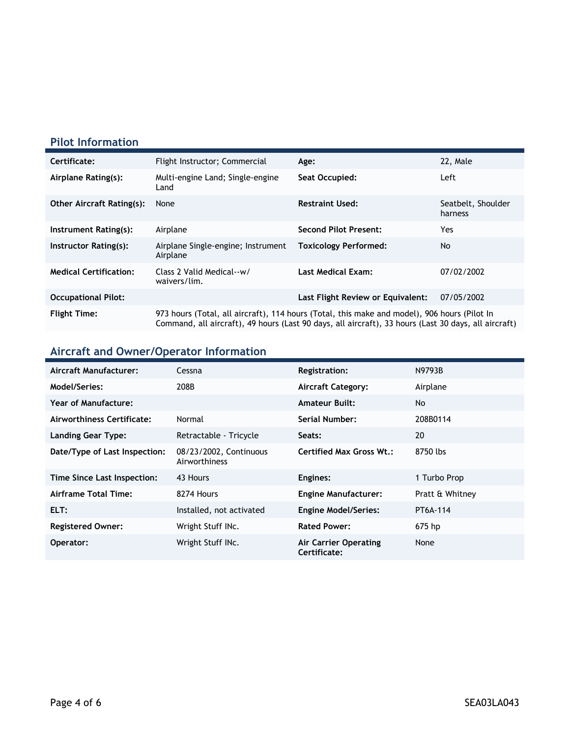### **Pilot Information**

| Certificate:                     | Flight Instructor; Commercial                                                                                                                                                                        | Age:                              | 22, Male                      |
|----------------------------------|------------------------------------------------------------------------------------------------------------------------------------------------------------------------------------------------------|-----------------------------------|-------------------------------|
| Airplane Rating(s):              | Multi-engine Land; Single-engine<br>Land                                                                                                                                                             | Seat Occupied:                    | Left                          |
| <b>Other Aircraft Rating(s):</b> | None                                                                                                                                                                                                 | <b>Restraint Used:</b>            | Seatbelt, Shoulder<br>harness |
| Instrument Rating(s):            | Airplane                                                                                                                                                                                             | <b>Second Pilot Present:</b>      | Yes                           |
| Instructor Rating(s):            | Airplane Single-engine; Instrument<br>Airplane                                                                                                                                                       | <b>Toxicology Performed:</b>      | No.                           |
| <b>Medical Certification:</b>    | Class 2 Valid Medical--w/<br>waivers/lim.                                                                                                                                                            | <b>Last Medical Exam:</b>         | 07/02/2002                    |
| <b>Occupational Pilot:</b>       |                                                                                                                                                                                                      | Last Flight Review or Equivalent: | 07/05/2002                    |
| <b>Flight Time:</b>              | 973 hours (Total, all aircraft), 114 hours (Total, this make and model), 906 hours (Pilot In<br>Command, all aircraft), 49 hours (Last 90 days, all aircraft), 33 hours (Last 30 days, all aircraft) |                                   |                               |

## **Aircraft and Owner/Operator Information**

| Aircraft Manufacturer:        | Cessna                                  | <b>Registration:</b>                  | N9793B          |
|-------------------------------|-----------------------------------------|---------------------------------------|-----------------|
| Model/Series:                 | 208B                                    | <b>Aircraft Category:</b>             | Airplane        |
| Year of Manufacture:          |                                         | <b>Amateur Built:</b>                 | No              |
| Airworthiness Certificate:    | Normal                                  | Serial Number:                        | 208B0114        |
| <b>Landing Gear Type:</b>     | Retractable - Tricycle                  | Seats:                                | 20              |
| Date/Type of Last Inspection: | 08/23/2002, Continuous<br>Airworthiness | <b>Certified Max Gross Wt.:</b>       | 8750 lbs        |
| Time Since Last Inspection:   | 43 Hours                                | Engines:                              | 1 Turbo Prop    |
| Airframe Total Time:          | 8274 Hours                              | <b>Engine Manufacturer:</b>           | Pratt & Whitney |
| ELT:                          | Installed, not activated                | <b>Engine Model/Series:</b>           | PT6A-114        |
| <b>Registered Owner:</b>      | Wright Stuff INc.                       | <b>Rated Power:</b>                   | 675 hp          |
| Operator:                     | Wright Stuff INc.                       | Air Carrier Operating<br>Certificate: | None            |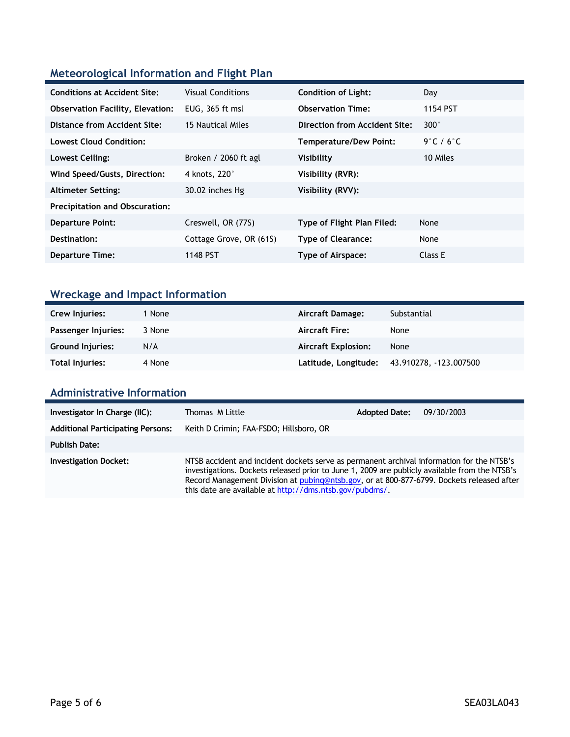### **Meteorological Information and Flight Plan**

| <b>Conditions at Accident Site:</b>     | <b>Visual Conditions</b> | <b>Condition of Light:</b>    | Day           |
|-----------------------------------------|--------------------------|-------------------------------|---------------|
| <b>Observation Facility, Elevation:</b> | EUG, 365 ft msl          | <b>Observation Time:</b>      | 1154 PST      |
| Distance from Accident Site:            | 15 Nautical Miles        | Direction from Accident Site: | $300^{\circ}$ |
| Lowest Cloud Condition:                 |                          | Temperature/Dew Point:        | 9°C / 6°C     |
| Lowest Ceiling:                         | Broken / 2060 ft agl     | Visibility                    | 10 Miles      |
| Wind Speed/Gusts, Direction:            | 4 knots, 220°            | Visibility (RVR):             |               |
| <b>Altimeter Setting:</b>               | 30.02 inches Hg          | Visibility (RVV):             |               |
| <b>Precipitation and Obscuration:</b>   |                          |                               |               |
| <b>Departure Point:</b>                 | Creswell, OR (77S)       | Type of Flight Plan Filed:    | None          |
| Destination:                            | Cottage Grove, OR (61S)  | <b>Type of Clearance:</b>     | None          |
| <b>Departure Time:</b>                  | 1148 PST                 | Type of Airspace:             | Class E       |

## **Wreckage and Impact Information**

| Crew Injuries:          | 1 None | Aircraft Damage:           | Substantial                                 |
|-------------------------|--------|----------------------------|---------------------------------------------|
| Passenger Injuries:     | 3 None | <b>Aircraft Fire:</b>      | None                                        |
| <b>Ground Injuries:</b> | N/A    | <b>Aircraft Explosion:</b> | None                                        |
| Total Injuries:         | 4 None |                            | Latitude, Longitude: 43.910278, -123.007500 |

#### **Administrative Information**

| Investigator In Charge (IIC):            | Thomas M Little                                                                                                                                                                                                                                                                                                                                    | <b>Adopted Date:</b> | 09/30/2003 |
|------------------------------------------|----------------------------------------------------------------------------------------------------------------------------------------------------------------------------------------------------------------------------------------------------------------------------------------------------------------------------------------------------|----------------------|------------|
| <b>Additional Participating Persons:</b> | Keith D Crimin; FAA-FSDO; Hillsboro, OR                                                                                                                                                                                                                                                                                                            |                      |            |
| <b>Publish Date:</b>                     |                                                                                                                                                                                                                                                                                                                                                    |                      |            |
| <b>Investigation Docket:</b>             | NTSB accident and incident dockets serve as permanent archival information for the NTSB's<br>investigations. Dockets released prior to June 1, 2009 are publicly available from the NTSB's<br>Record Management Division at pubing@ntsb.gov, or at 800-877-6799. Dockets released after<br>this date are available at http://dms.ntsb.gov/pubdms/. |                      |            |